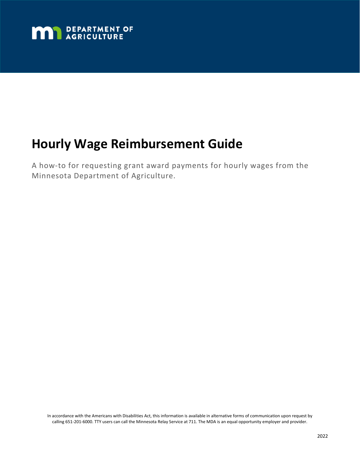

# **Hourly Wage Reimbursement Guide**

A how-to for requesting grant award payments for hourly wages from the Minnesota Department of Agriculture.

In accordance with the Americans with Disabilities Act, this information is available in alternative forms of communication upon request by calling 651-201-6000. TTY users can call the Minnesota Relay Service at 711. The MDA is an equal opportunity employer and provider.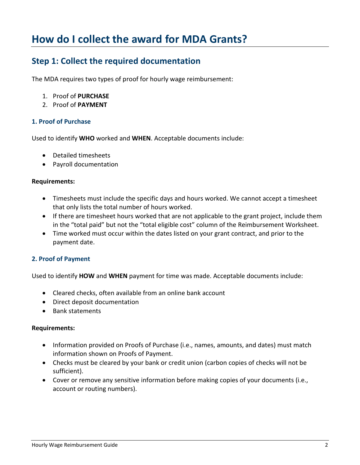## **How do I collect the award for MDA Grants?**

### **Step 1: Collect the required documentation**

The MDA requires two types of proof for hourly wage reimbursement:

- 1. Proof of **PURCHASE**
- 2. Proof of **PAYMENT**

#### **1. Proof of Purchase**

Used to identify **WHO** worked and **WHEN**. Acceptable documents include:

- Detailed timesheets
- Payroll documentation

#### **Requirements:**

- Timesheets must include the specific days and hours worked. We cannot accept a timesheet that only lists the total number of hours worked.
- If there are timesheet hours worked that are not applicable to the grant project, include them in the "total paid" but not the "total eligible cost" column of the Reimbursement Worksheet.
- Time worked must occur within the dates listed on your grant contract, and prior to the payment date.

#### **2. Proof of Payment**

Used to identify **HOW** and **WHEN** payment for time was made. Acceptable documents include:

- Cleared checks, often available from an online bank account
- Direct deposit documentation
- Bank statements

#### **Requirements:**

- Information provided on Proofs of Purchase (i.e., names, amounts, and dates) must match information shown on Proofs of Payment.
- Checks must be cleared by your bank or credit union (carbon copies of checks will not be sufficient).
- Cover or remove any sensitive information before making copies of your documents (i.e., account or routing numbers).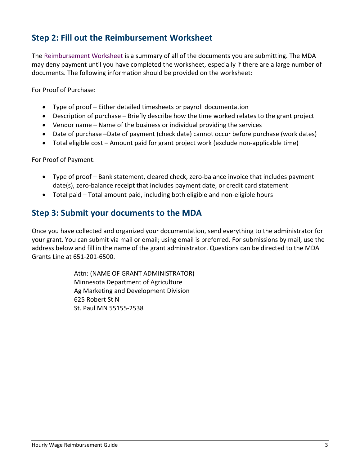## **Step 2: Fill out the Reimbursement Worksheet**

The [Reimbursement Worksheet](#page-4-0) is a summary of all of the documents you are submitting. The MDA may deny payment until you have completed the worksheet, especially if there are a large number of documents. The following information should be provided on the worksheet:

For Proof of Purchase:

- Type of proof Either detailed timesheets or payroll documentation
- Description of purchase Briefly describe how the time worked relates to the grant project
- Vendor name Name of the business or individual providing the services
- Date of purchase –Date of payment (check date) cannot occur before purchase (work dates)
- Total eligible cost Amount paid for grant project work (exclude non-applicable time)

For Proof of Payment:

- Type of proof Bank statement, cleared check, zero-balance invoice that includes payment date(s), zero-balance receipt that includes payment date, or credit card statement
- Total paid Total amount paid, including both eligible and non-eligible hours

### **Step 3: Submit your documents to the MDA**

Once you have collected and organized your documentation, send everything to the administrator for your grant. You can submit via mail or email; using email is preferred. For submissions by mail, use the address below and fill in the name of the grant administrator. Questions can be directed to the MDA Grants Line at 651-201-6500.

> Attn: (NAME OF GRANT ADMINISTRATOR) Minnesota Department of Agriculture Ag Marketing and Development Division 625 Robert St N St. Paul MN 55155-2538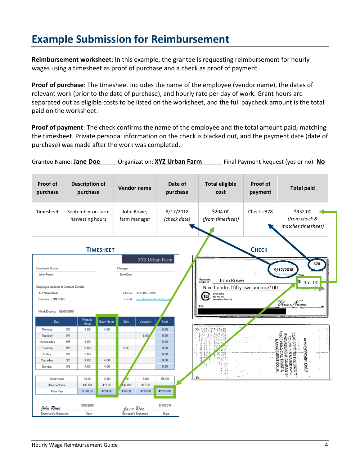## **Example Submission for Reimbursement**

**Reimbursement worksheet**: In this example, the grantee is requesting reimbursement for hourly wages using a timesheet as proof of purchase and a check as proof of payment.

**Proof of purchase**: The timesheet includes the name of the employee (vendor name), the dates of relevant work (prior to the date of purchase), and hourly rate per day of work. Grant hours are separated out as eligible costs to be listed on the worksheet, and the full paycheck amount is the total paid on the worksheet.

**Proof of payment**: The check confirms the name of the employee and the total amount paid, matching the timesheet. Private personal information on the check is blacked out, and the payment date (date of purchase) was made after the work was completed.

Grantee Name: **Jane Doe** Organization: **XYZ Urban Farm** Final Payment Request (yes or no): No

| Proof of<br>purchase                                                                                                                     |                                                        | <b>Description of</b><br>purchase     |                     | <b>Vendor name</b>                                                                |                | Date of<br>purchase       |          | <b>Total eligible</b><br>cost                     | <b>Proof of</b><br>payment | <b>Total paid</b>                                      |  |  |  |  |
|------------------------------------------------------------------------------------------------------------------------------------------|--------------------------------------------------------|---------------------------------------|---------------------|-----------------------------------------------------------------------------------|----------------|---------------------------|----------|---------------------------------------------------|----------------------------|--------------------------------------------------------|--|--|--|--|
| Timesheet                                                                                                                                |                                                        | September on-farm<br>harvesting hours |                     | John Rowe,<br>farm manager                                                        |                | 9/17/2018<br>(check date) |          | \$204.00<br><b>Check #378</b><br>(from timesheet) |                            | \$952.00<br>(from check &<br>matches timesheet)        |  |  |  |  |
| Снеск<br><b>TIMESHEET</b>                                                                                                                |                                                        |                                       |                     |                                                                                   |                |                           |          |                                                   |                            |                                                        |  |  |  |  |
| Employee Name                                                                                                                            |                                                        |                                       | Manager             |                                                                                   | XYZ Urban Farm |                           |          |                                                   | 378<br>9/17/2018           |                                                        |  |  |  |  |
| John Rowe                                                                                                                                |                                                        |                                       | Jane Doe            |                                                                                   |                |                           |          |                                                   |                            |                                                        |  |  |  |  |
|                                                                                                                                          | Pay to the<br>Order of<br><b>John Rowe</b><br>\$952.00 |                                       |                     |                                                                                   |                |                           |          |                                                   |                            |                                                        |  |  |  |  |
| Nine hundred fifty-two and no/100<br>Employee Address & Contact Details<br>123 Main Street<br>123-456-7890<br>Phone:<br><b>YOUR BANK</b> |                                                        |                                       |                     |                                                                                   |                |                           |          |                                                   |                            |                                                        |  |  |  |  |
| Farmtown, MN 12345<br>Week Ending: 09/09/2018                                                                                            |                                                        |                                       |                     | 1st<br>421 Any Ave<br>suzurbanfarm@farming.nr<br>E-mail:<br>iomeplace, State, Zip |                |                           |          |                                                   |                            | Your Name                                              |  |  |  |  |
| Day                                                                                                                                      |                                                        | Regular<br>Hours                      | <b>Grant Hours</b>  | Sick                                                                              | Vacation       | Total                     |          |                                                   |                            |                                                        |  |  |  |  |
| Monday                                                                                                                                   | 3/3                                                    | 4.00                                  | 4.00                |                                                                                   |                | 8.00                      |          |                                                   |                            |                                                        |  |  |  |  |
| Tuesday                                                                                                                                  | 3/4                                                    |                                       |                     |                                                                                   | 8.00.          | 8.00                      |          |                                                   |                            |                                                        |  |  |  |  |
| Wednesday                                                                                                                                | 3/5                                                    | 8.00                                  |                     |                                                                                   |                | 8.00                      |          |                                                   |                            |                                                        |  |  |  |  |
| Thursday                                                                                                                                 | 3/6                                                    | 6.00                                  |                     | 2.00                                                                              |                | 8.00                      |          |                                                   |                            | FINGKON<br><b>CREPOSIT ONLY</b><br><b>RSEMENT</b><br>3 |  |  |  |  |
| Friday                                                                                                                                   | 3/7                                                    | 8.00                                  |                     |                                                                                   |                | 8.00                      |          |                                                   |                            | ಠ                                                      |  |  |  |  |
| Saturday                                                                                                                                 | 3/8                                                    | 4.00                                  | 4.00                |                                                                                   |                | 8.00                      |          |                                                   | <b>MENT CO.</b>            | <b>MANED PA</b><br>THE CREET!                          |  |  |  |  |
| Sunday                                                                                                                                   | 9/9                                                    | 4.00                                  | 4.00                |                                                                                   |                | 8.00                      |          |                                                   |                            | TRUST<br><b>GUARAI</b>                                 |  |  |  |  |
|                                                                                                                                          |                                                        |                                       |                     |                                                                                   |                |                           |          |                                                   |                            |                                                        |  |  |  |  |
| <b>Total Hours</b>                                                                                                                       |                                                        | 34.00                                 | 12.00               | άo                                                                                | 8.00           | 56.00                     | $\Omega$ |                                                   |                            |                                                        |  |  |  |  |
| Rate per Hour                                                                                                                            |                                                        | \$17.00                               | \$17.00             | \$17.00                                                                           | \$17.00        |                           |          |                                                   |                            |                                                        |  |  |  |  |
| Total Pay                                                                                                                                |                                                        | \$578.00                              | \$204.00            | \$34.00                                                                           | \$136.00       | \$952.00                  |          |                                                   |                            |                                                        |  |  |  |  |
| John Rowe                                                                                                                                |                                                        | 9/10/2019                             |                     | Jane Doc                                                                          |                | 9/10/2018                 |          |                                                   |                            |                                                        |  |  |  |  |
| Employee's Signature                                                                                                                     |                                                        | Date                                  | Manager's Signature |                                                                                   |                | Date                      |          |                                                   |                            |                                                        |  |  |  |  |